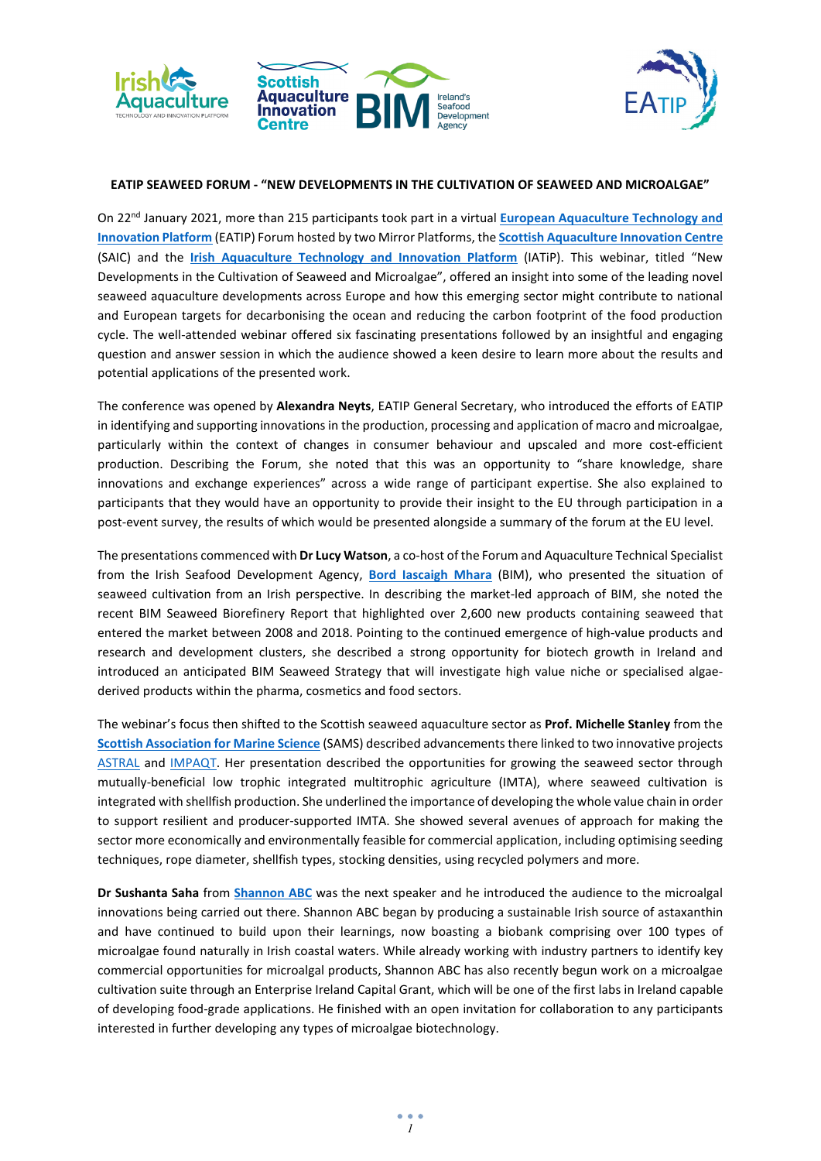



## **EATIP SEAWEED FORUM - "NEW DEVELOPMENTS IN THE CULTIVATION OF SEAWEED AND MICROALGAE"**

On 22nd January 2021, more than 215 participants took part in a virtual **[European Aquaculture Technology and](https://eatip.eu/)  [Innovation Platform](https://eatip.eu/)** (EATIP) Forum hosted by two Mirror Platforms, the **[Scottish Aquaculture Innovation Centre](https://www.scottishaquaculture.com/)** (SAIC) and the **[Irish Aquaculture Technology and Innovation Platform](https://iatip.ie/)** (IATiP). This webinar, titled "New Developments in the Cultivation of Seaweed and Microalgae", offered an insight into some of the leading novel seaweed aquaculture developments across Europe and how this emerging sector might contribute to national and European targets for decarbonising the ocean and reducing the carbon footprint of the food production cycle. The well-attended webinar offered six fascinating presentations followed by an insightful and engaging question and answer session in which the audience showed a keen desire to learn more about the results and potential applications of the presented work.

The conference was opened by **Alexandra Neyts**, EATIP General Secretary, who introduced the efforts of EATIP in identifying and supporting innovations in the production, processing and application of macro and microalgae, particularly within the context of changes in consumer behaviour and upscaled and more cost-efficient production. Describing the Forum, she noted that this was an opportunity to "share knowledge, share innovations and exchange experiences" across a wide range of participant expertise. She also explained to participants that they would have an opportunity to provide their insight to the EU through participation in a post-event survey, the results of which would be presented alongside a summary of the forum at the EU level.

The presentations commenced with **Dr Lucy Watson**, a co-host of the Forum and Aquaculture Technical Specialist from the Irish Seafood Development Agency, **[Bord Iascaigh Mhara](http://www.bim.ie/)** (BIM), who presented the situation of seaweed cultivation from an Irish perspective. In describing the market-led approach of BIM, she noted the recent BIM Seaweed Biorefinery Report that highlighted over 2,600 new products containing seaweed that entered the market between 2008 and 2018. Pointing to the continued emergence of high-value products and research and development clusters, she described a strong opportunity for biotech growth in Ireland and introduced an anticipated BIM Seaweed Strategy that will investigate high value niche or specialised algaederived products within the pharma, cosmetics and food sectors.

The webinar's focus then shifted to the Scottish seaweed aquaculture sector as **Prof. Michelle Stanley** from the **[Scottish Association for Marine Science](https://www.sams.ac.uk/)** (SAMS) described advancements there linked to two innovative projects [ASTRAL](https://www.astral-project.eu/) and [IMPAQT.](https://impaqtproject.eu/) Her presentation described the opportunities for growing the seaweed sector through mutually-beneficial low trophic integrated multitrophic agriculture (IMTA), where seaweed cultivation is integrated with shellfish production. She underlined the importance of developing the whole value chain in order to support resilient and producer-supported IMTA. She showed several avenues of approach for making the sector more economically and environmentally feasible for commercial application, including optimising seeding techniques, rope diameter, shellfish types, stocking densities, using recycled polymers and more.

**Dr Sushanta Saha** from **[Shannon ABC](https://www.shannonabc.ie/)** was the next speaker and he introduced the audience to the microalgal innovations being carried out there. Shannon ABC began by producing a sustainable Irish source of astaxanthin and have continued to build upon their learnings, now boasting a biobank comprising over 100 types of microalgae found naturally in Irish coastal waters. While already working with industry partners to identify key commercial opportunities for microalgal products, Shannon ABC has also recently begun work on a microalgae cultivation suite through an Enterprise Ireland Capital Grant, which will be one of the first labs in Ireland capable of developing food-grade applications. He finished with an open invitation for collaboration to any participants interested in further developing any types of microalgae biotechnology.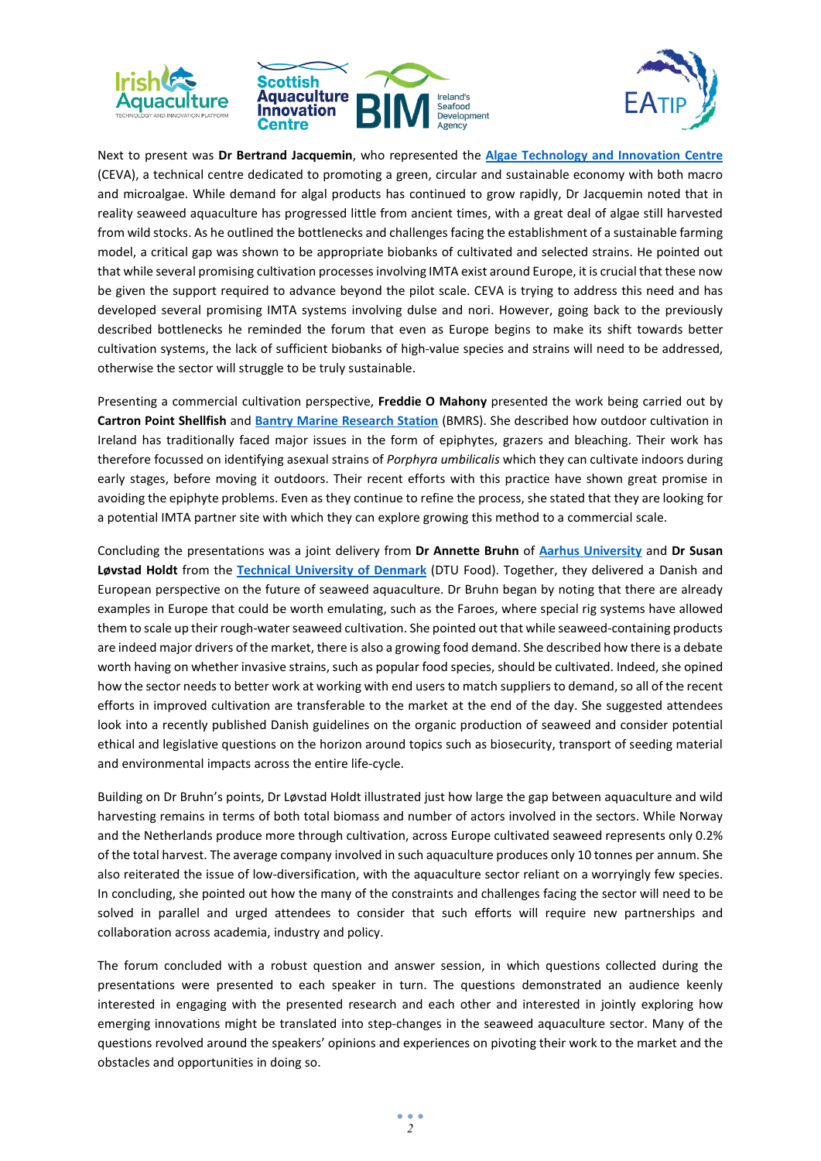



Next to present was **Dr Bertrand Jacquemin**, who represented the **[Algae Technology and Innovation Centre](https://www.ceva-algues.com/en/)** (CEVA), a technical centre dedicated to promoting a green, circular and sustainable economy with both macro and microalgae. While demand for algal products has continued to grow rapidly, Dr Jacquemin noted that in reality seaweed aquaculture has progressed little from ancient times, with a great deal of algae still harvested from wild stocks. As he outlined the bottlenecks and challenges facing the establishment of a sustainable farming model, a critical gap was shown to be appropriate biobanks of cultivated and selected strains. He pointed out that while several promising cultivation processes involving IMTA exist around Europe, it is crucial that these now be given the support required to advance beyond the pilot scale. CEVA is trying to address this need and has developed several promising IMTA systems involving dulse and nori. However, going back to the previously described bottlenecks he reminded the forum that even as Europe begins to make its shift towards better cultivation systems, the lack of sufficient biobanks of high-value species and strains will need to be addressed, otherwise the sector will struggle to be truly sustainable.

Presenting a commercial cultivation perspective, **Freddie O Mahony** presented the work being carried out by **Cartron Point Shellfish** and **[Bantry Marine Research Station](https://www.bmrs.ie/)** (BMRS). She described how outdoor cultivation in Ireland has traditionally faced major issues in the form of epiphytes, grazers and bleaching. Their work has therefore focussed on identifying asexual strains of *Porphyra umbilicalis* which they can cultivate indoors during early stages, before moving it outdoors. Their recent efforts with this practice have shown great promise in avoiding the epiphyte problems. Even as they continue to refine the process, she stated that they are looking for a potential IMTA partner site with which they can explore growing this method to a commercial scale.

Concluding the presentations was a joint delivery from **Dr Annette Bruhn** of **[Aarhus University](https://international.au.dk/)** and **Dr Susan Løvstad Holdt** from the **[Technical University of Denmark](https://www.dtu.dk/english)** (DTU Food). Together, they delivered a Danish and European perspective on the future of seaweed aquaculture. Dr Bruhn began by noting that there are already examples in Europe that could be worth emulating, such as the Faroes, where special rig systems have allowed them to scale up their rough-water seaweed cultivation. She pointed out that while seaweed-containing products are indeed major drivers of the market, there is also a growing food demand. She described how there is a debate worth having on whether invasive strains, such as popular food species, should be cultivated. Indeed, she opined how the sector needs to better work at working with end users to match suppliers to demand, so all of the recent efforts in improved cultivation are transferable to the market at the end of the day. She suggested attendees look into a recently published Danish guidelines on the organic production of seaweed and consider potential ethical and legislative questions on the horizon around topics such as biosecurity, transport of seeding material and environmental impacts across the entire life-cycle.

Building on Dr Bruhn's points, Dr Løvstad Holdt illustrated just how large the gap between aquaculture and wild harvesting remains in terms of both total biomass and number of actors involved in the sectors. While Norway and the Netherlands produce more through cultivation, across Europe cultivated seaweed represents only 0.2% of the total harvest. The average company involved in such aquaculture produces only 10 tonnes per annum. She also reiterated the issue of low-diversification, with the aquaculture sector reliant on a worryingly few species. In concluding, she pointed out how the many of the constraints and challenges facing the sector will need to be solved in parallel and urged attendees to consider that such efforts will require new partnerships and collaboration across academia, industry and policy.

The forum concluded with a robust question and answer session, in which questions collected during the presentations were presented to each speaker in turn. The questions demonstrated an audience keenly interested in engaging with the presented research and each other and interested in jointly exploring how emerging innovations might be translated into step-changes in the seaweed aquaculture sector. Many of the questions revolved around the speakers' opinions and experiences on pivoting their work to the market and the obstacles and opportunities in doing so.